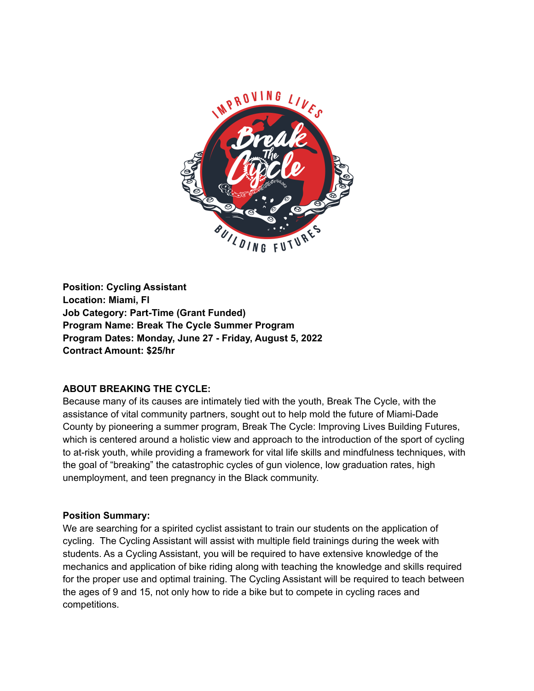

**Position: Cycling Assistant Location: Miami, Fl Job Category: Part-Time (Grant Funded) Program Name: Break The Cycle Summer Program Program Dates: Monday, June 27 - Friday, August 5, 2022 Contract Amount: \$25/hr**

# **ABOUT BREAKING THE CYCLE:**

Because many of its causes are intimately tied with the youth, Break The Cycle, with the assistance of vital community partners, sought out to help mold the future of Miami-Dade County by pioneering a summer program, Break The Cycle: Improving Lives Building Futures, which is centered around a holistic view and approach to the introduction of the sport of cycling to at-risk youth, while providing a framework for vital life skills and mindfulness techniques, with the goal of "breaking" the catastrophic cycles of gun violence, low graduation rates, high unemployment, and teen pregnancy in the Black community.

#### **Position Summary:**

We are searching for a spirited cyclist assistant to train our students on the application of cycling. The Cycling Assistant will assist with multiple field trainings during the week with students. As a Cycling Assistant, you will be required to have extensive knowledge of the mechanics and application of bike riding along with teaching the knowledge and skills required for the proper use and optimal training. The Cycling Assistant will be required to teach between the ages of 9 and 15, not only how to ride a bike but to compete in cycling races and competitions.